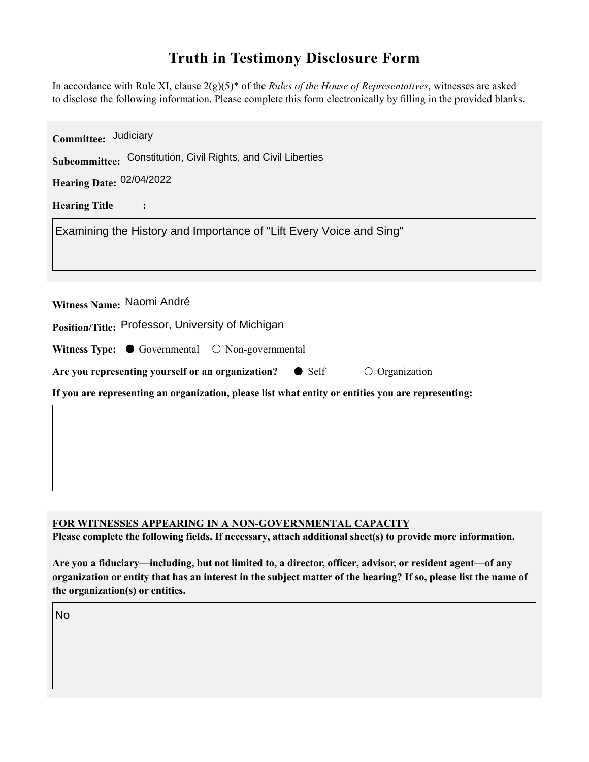## **Truth in Testimony Disclosure Form**

In accordance with Rule XI, clause 2(g)(5)\* of the *Rules of the House of Representatives*, witnesses are asked to disclose the following information. Please complete this form electronically by filling in the provided blanks.

| Committee: Judiciary                                                                               |
|----------------------------------------------------------------------------------------------------|
| Subcommittee: Constitution, Civil Rights, and Civil Liberties                                      |
| Hearing Date: 02/04/2022                                                                           |
| <b>Hearing Title</b>                                                                               |
| Examining the History and Importance of "Lift Every Voice and Sing"                                |
|                                                                                                    |
| Witness Name: Naomi André                                                                          |
| Position/Title: Professor, University of Michigan                                                  |
| Witness Type: $\bullet$ Governmental $\circ$ Non-governmental                                      |
| Are you representing yourself or an organization? $\bullet$ Self<br>$\bigcirc$ Organization        |
| If you are representing an organization, please list what entity or entities you are representing: |
|                                                                                                    |
|                                                                                                    |
|                                                                                                    |
|                                                                                                    |

## **FOR WITNESSES APPEARING IN A NON-GOVERNMENTAL CAPACITY**

**Please complete the following fields. If necessary, attach additional sheet(s) to provide more information.**

**Are you a fiduciary—including, but not limited to, a director, officer, advisor, or resident agent—of any organization or entity that has an interest in the subject matter of the hearing? If so, please list the name of the organization(s) or entities.**

No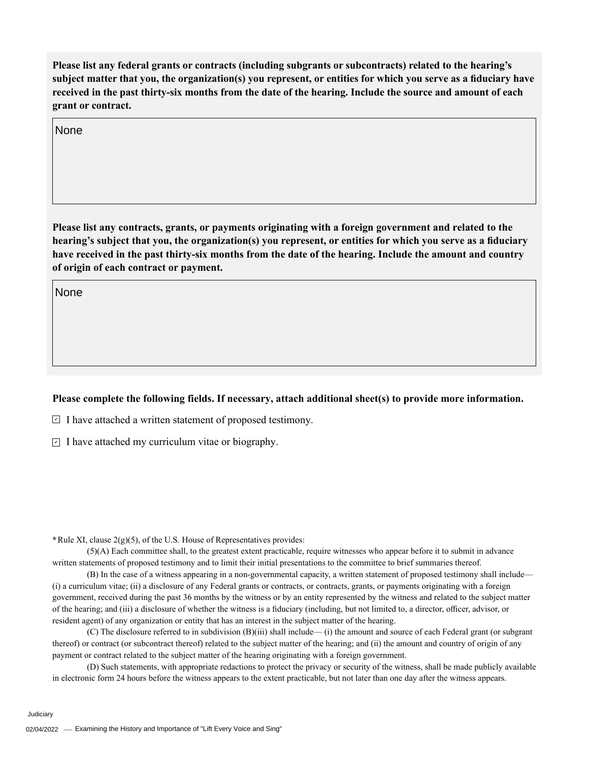**Please list any federal grants or contracts (including subgrants or subcontracts) related to the hearing's subject matter that you, the organization(s) you represent, or entities for which you serve as a fiduciary have received in the past thirty-six months from the date of the hearing. Include the source and amount of each grant or contract.** 

None

**Please list any contracts, grants, or payments originating with a foreign government and related to the hearing's subject that you, the organization(s) you represent, or entities for which you serve as a fiduciary have received in the past thirty-six months from the date of the hearing. Include the amount and country of origin of each contract or payment.** 

None

## **Please complete the following fields. If necessary, attach additional sheet(s) to provide more information.**

 $\exists$  I have attached a written statement of proposed testimony.

 $\subseteq$  I have attached my curriculum vitae or biography.

**\***Rule XI, clause 2(g)(5), of the U.S. House of Representatives provides:

(5)(A) Each committee shall, to the greatest extent practicable, require witnesses who appear before it to submit in advance written statements of proposed testimony and to limit their initial presentations to the committee to brief summaries thereof.

(B) In the case of a witness appearing in a non-governmental capacity, a written statement of proposed testimony shall include— (i) a curriculum vitae; (ii) a disclosure of any Federal grants or contracts, or contracts, grants, or payments originating with a foreign government, received during the past 36 months by the witness or by an entity represented by the witness and related to the subject matter of the hearing; and (iii) a disclosure of whether the witness is a fiduciary (including, but not limited to, a director, officer, advisor, or resident agent) of any organization or entity that has an interest in the subject matter of the hearing.

(C) The disclosure referred to in subdivision (B)(iii) shall include— (i) the amount and source of each Federal grant (or subgrant thereof) or contract (or subcontract thereof) related to the subject matter of the hearing; and (ii) the amount and country of origin of any payment or contract related to the subject matter of the hearing originating with a foreign government.

(D) Such statements, with appropriate redactions to protect the privacy or security of the witness, shall be made publicly available in electronic form 24 hours before the witness appears to the extent practicable, but not later than one day after the witness appears.

Judiciary